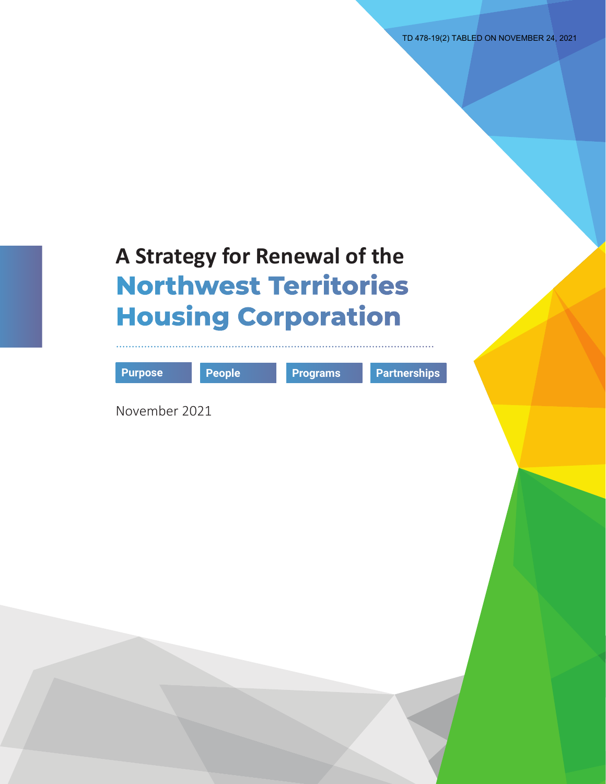TD 478-19(2) TABLED ON NOVEMBER 24, 2021

| <b>Purpose</b> | People | <b>Programs</b> | <b>Partnerships</b> |
|----------------|--------|-----------------|---------------------|
| November 2021  |        |                 |                     |
|                |        |                 |                     |
|                |        |                 |                     |
|                |        |                 |                     |
|                |        |                 |                     |
|                |        |                 |                     |
|                |        |                 |                     |
|                |        |                 |                     |
|                |        |                 |                     |
|                |        |                 |                     |
|                |        |                 |                     |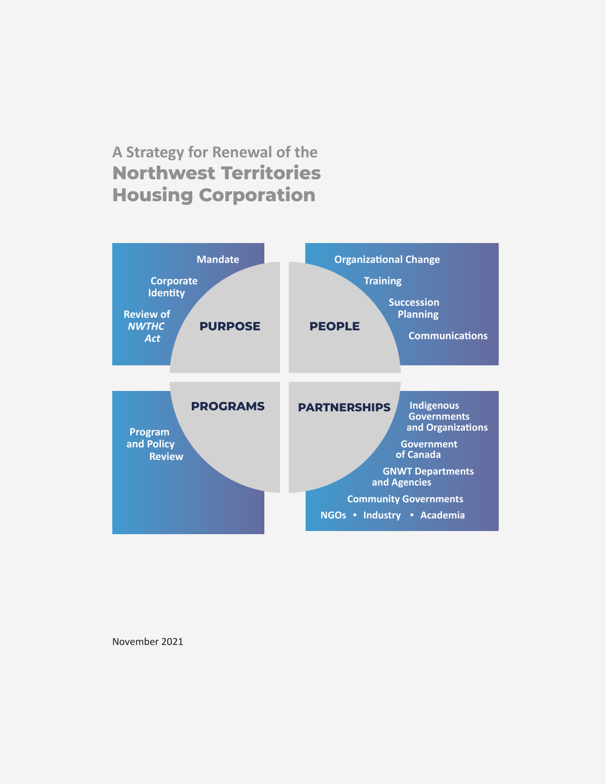### **A Strategy for Renewal of the Northwest Territories Housing Corporation**



November 2021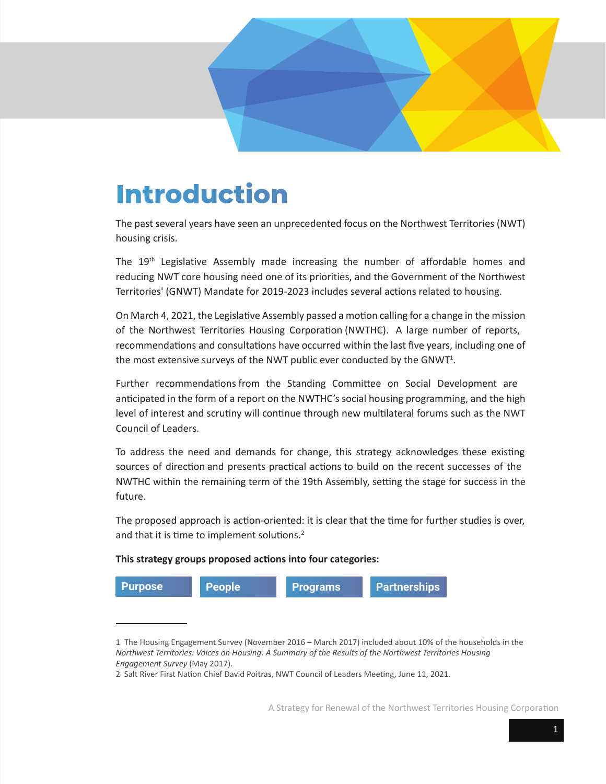# **Introduction**

The past several years have seen an unprecedented focus on the Northwest Territories (NWT) housing crisis.

The 19<sup>th</sup> Legislative Assembly made increasing the number of affordable homes and [reducing NWT core housing need one of its priorities, and the Government of the Northwest](https://www.eia.gov.nt.ca/en/mandate-government-northwest-territories-2019-2023) Territories' (GNWT) Mandate for 2019-2023 includes several actions related to housing.

On March 4, 2021, the Legislative Assembly passed a motion calling for a change in the mission of the Northwest Territories Housing Corporation (NWTHC). A large number of reports, recommendations and consultations have occurred within the last five years, including one of the most extensive surveys of the NWT public ever conducted by the GNWT<sup>1</sup>.

Further recommendations from the Standing Committee on Social Development are anticipated in the form of a report on the NWTHC's social housing programming, and the high level of interest and scrutiny will continue through new multilateral forums such as the NWT Council of Leaders.

To address the need and demands for change, this strategy acknowledges these existing sources of direction and presents practical actions to build on the recent successes of the NWTHC within the remaining term of the 19th Assembly, setting the stage for success in the future.

The proposed approach is action-oriented: it is clear that the time for further studies is over, and that it is time to implement solutions. $2$ 

#### **This strategy groups proposed actions into four categories:**



<sup>1</sup> The Housing Engagement Survey (November 2016 – March 2017) included about 10% of the households in the *Northwest Territories: Voices on Housing: A Summary of the Results of the Northwest Territories Housing Engagement Survey* (May 2017).

<sup>2</sup> Salt River First Nation Chief David Poitras, NWT Council of Leaders Meeting, June 11, 2021.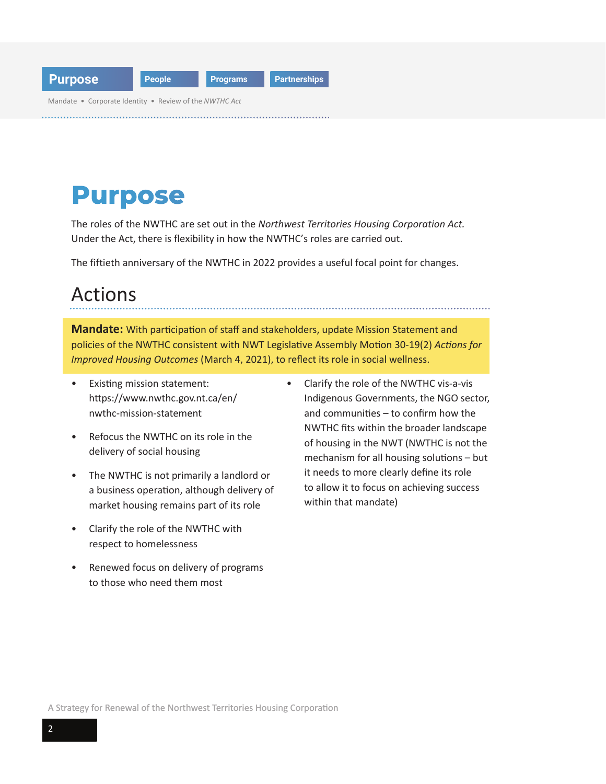<span id="page-3-0"></span>

| <b>Purpose</b>                                         | People | <b>Programs</b> | Partnerships |
|--------------------------------------------------------|--------|-----------------|--------------|
| Mandate • Corporate Identity • Review of the NWTHC Act |        |                 |              |

## **Purpose**

The roles of the NWTHC are set out in the *[Northwest Territories Housing Corporation Act.](https://www.justice.gov.nt.ca/en/files/legislation/nwt-housing-corporation/nwt-housing-corporation.a.pdf)*  Under the Act, there is flexibility in how the NWTHC's roles are carried out.

The fiftieth anniversary of the NWTHC in 2022 provides a useful focal point for changes.

## Actions

**Mandate:** With participation of staff and stakeholders, update Mission Statement and policies of the NWTHC consistent with NWT Legislative Assembly Motion 30-19(2) *Actions for Improved Housing Outcomes* (March 4, 2021), to reflect its role in social wellness.

- Existing mission statement: <https://www.nwthc.gov.nt.ca/en/> nwthc-mission-statement
- Refocus the NWTHC on its role in the delivery of social housing
- The NWTHC is not primarily a landlord or a business operation, although delivery of market housing remains part of its role
- Clarify the role of the NWTHC with respect to homelessness
- Renewed focus on delivery of programs to those who need them most
- Clarify the role of the NWTHC vis-a-vis Indigenous Governments, the NGO sector, and communities – to confirm how the NWTHC fits within the broader landscape of housing in the NWT (NWTHC is not the mechanism for all housing solutions – but it needs to more clearly define its role to allow it to focus on achieving success within that mandate)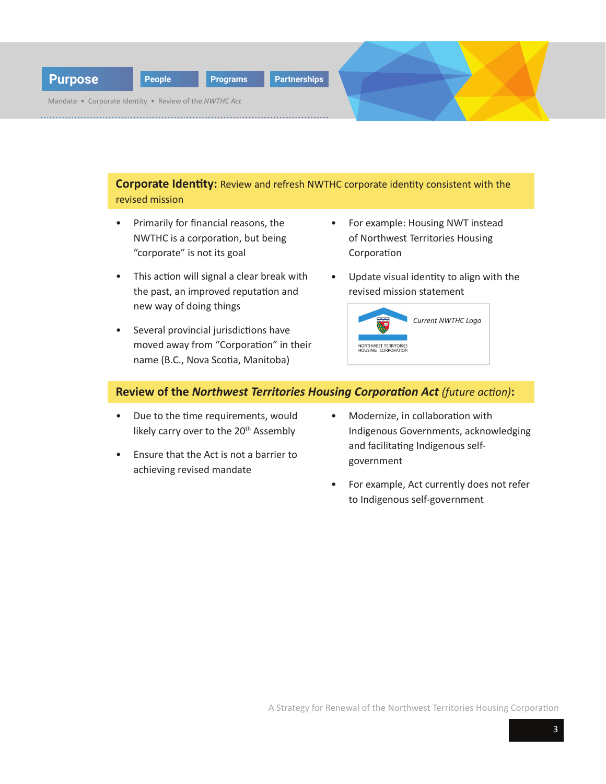

**Corporate Identity:** Review and refresh NWTHC corporate identity consistent with the revised mission

- Primarily for financial reasons, the NWTHC is a corporation, but being "corporate" is not its goal
- This action will signal a clear break with the past, an improved reputation and new way of doing things
- Several provincial jurisdictions have moved away from "Corporation" in their name (B.C., Nova Scotia, Manitoba)
- For example: Housing NWT instead of Northwest Territories Housing Corporation
- Update visual identity to align with the revised mission statement



#### **Review of the** *Northwest Territories Housing Corporation Act (future action)***:**

- Due to the time requirements, would likely carry over to the 20<sup>th</sup> Assembly
- Ensure that the Act is not a barrier to achieving revised mandate
- Modernize, in collaboration with Indigenous Governments, acknowledging and facilitating Indigenous selfgovernment
- For example, Act currently does not refer to Indigenous self-government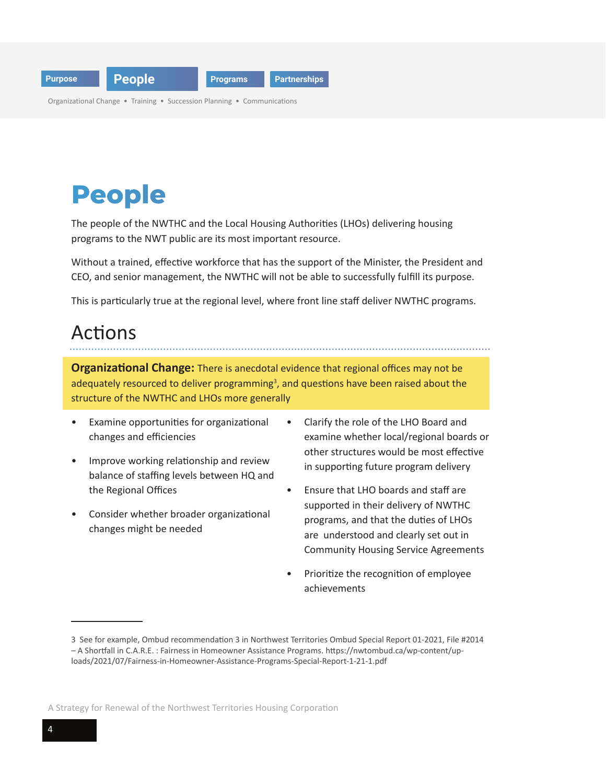<span id="page-5-0"></span>

Organizational Change • Training • Succession Planning • Communications

# **People**

The people of the NWTHC and the Local Housing Authorities (LHOs) delivering housing programs to the NWT public are its most important resource.

Without a trained, effective workforce that has the support of the Minister, the President and CEO, and senior management, the NWTHC will not be able to successfully fulfill its purpose.

This is particularly true at the regional level, where front line staff deliver NWTHC programs.

## Actions

**Organizational Change:** There is anecdotal evidence that regional offices may not be adequately resourced to deliver programming<sup>3</sup>, and questions have been raised about the structure of the NWTHC and LHOs more generally

- Examine opportunities for organizational changes and efficiencies
- Improve working relationship and review balance of staffing levels between HQ and the Regional Offices
- Consider whether broader organizational changes might be needed
- Clarify the role of the LHO Board and examine whether local/regional boards or other structures would be most effective in supporting future program delivery
- Ensure that LHO boards and staff are supported in their delivery of NWTHC programs, and that the duties of LHOs are understood and clearly set out in Community Housing Service Agreements
- Prioritize the recognition of employee achievements

<sup>3</sup> See for example, Ombud recommendation 3 in Northwest Territories Ombud Special Report 01-2021, File #2014 – A Shortfall in C.A.R.E. : Fairness in Homeowner Assistance Programs. https://nwtombud.ca/wp-content/uploads/2021/07/Fairness-in-Homeowner-Assistance-Programs-Special-Report-1-21-1.pdf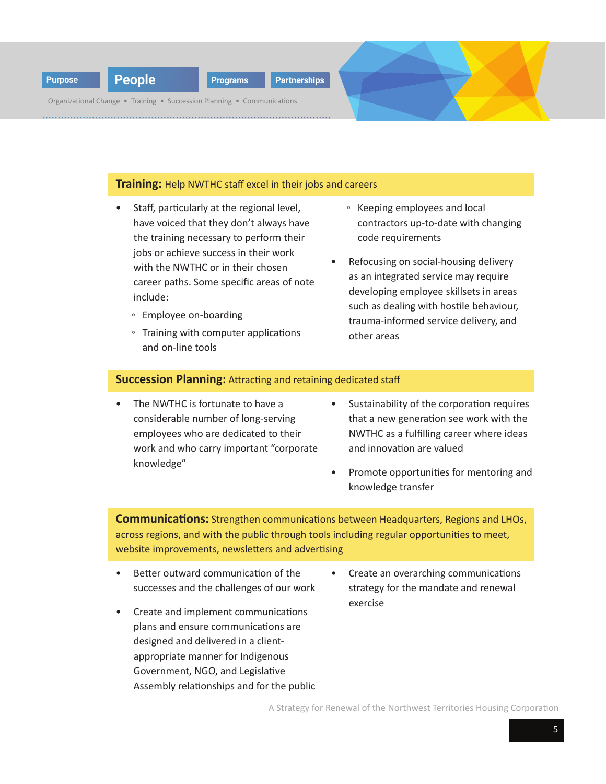

**Training:** Help NWTHC staff excel in their jobs and careers

- Staff, particularly at the regional level, have voiced that they don't always have the training necessary to perform their jobs or achieve success in their work with the NWTHC or in their chosen career paths. Some specific areas of note include:
	- Employee on-boarding
	- Training with computer applications and on-line tools
- Keeping employees and local contractors up-to-date with changing code requirements
- Refocusing on social-housing delivery as an integrated service may require developing employee skillsets in areas such as dealing with hostile behaviour, trauma-informed service delivery, and other areas

#### **Succession Planning:** Attracting and retaining dedicated staff

- The NWTHC is fortunate to have a considerable number of long-serving employees who are dedicated to their work and who carry important "corporate knowledge"
- Sustainability of the corporation requires that a new generation see work with the NWTHC as a fulfilling career where ideas and innovation are valued
- Promote opportunities for mentoring and knowledge transfer

**Communications:** Strengthen communications between Headquarters, Regions and LHOs, across regions, and with the public through tools including regular opportunities to meet, website improvements, newsletters and advertising

- Better outward communication of the successes and the challenges of our work
- Create an overarching communications strategy for the mandate and renewal exercise
- Create and implement communications plans and ensure communications are designed and delivered in a clientappropriate manner for Indigenous Government, NGO, and Legislative Assembly relationships and for the public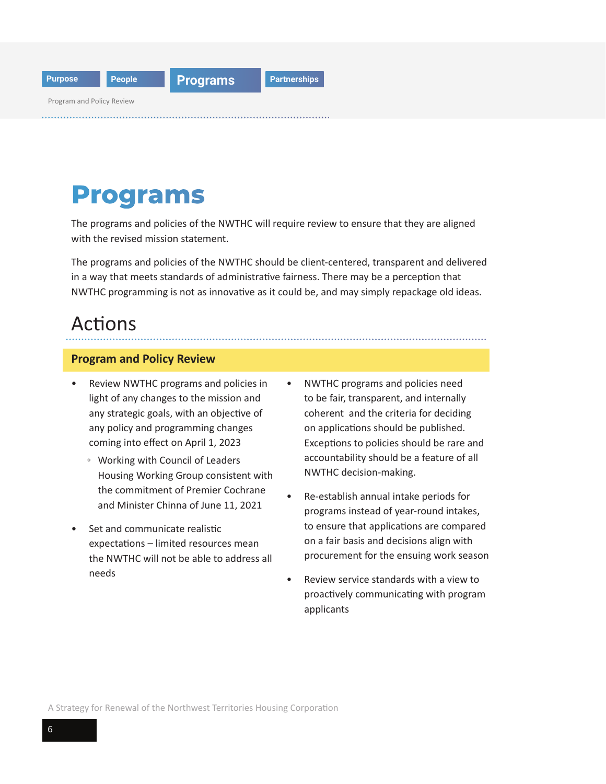<span id="page-7-0"></span>

## **Programs**

The programs and policies of the NWTHC will require review to ensure that they are aligned with the revised mission statement.

The programs and policies of the NWTHC should be client-centered, transparent and delivered in a way that meets standards of administrative fairness. There may be a perception that NWTHC programming is not as innovative as it could be, and may simply repackage old ideas.

### Actions

#### **Program and Policy Review**

- Review NWTHC programs and policies in light of any changes to the mission and any strategic goals, with an objective of any policy and programming changes coming into effect on April 1, 2023
	- Working with Council of Leaders Housing Working Group consistent with the commitment of Premier Cochrane and Minister Chinna of June 11, 2021
- Set and communicate realistic expectations – limited resources mean the NWTHC will not be able to address all needs
- NWTHC programs and policies need to be fair, transparent, and internally coherent and the criteria for deciding on applications should be published. Exceptions to policies should be rare and accountability should be a feature of all NWTHC decision-making.
- Re-establish annual intake periods for programs instead of year-round intakes, to ensure that applications are compared on a fair basis and decisions align with procurement for the ensuing work season
- Review service standards with a view to proactively communicating with program applicants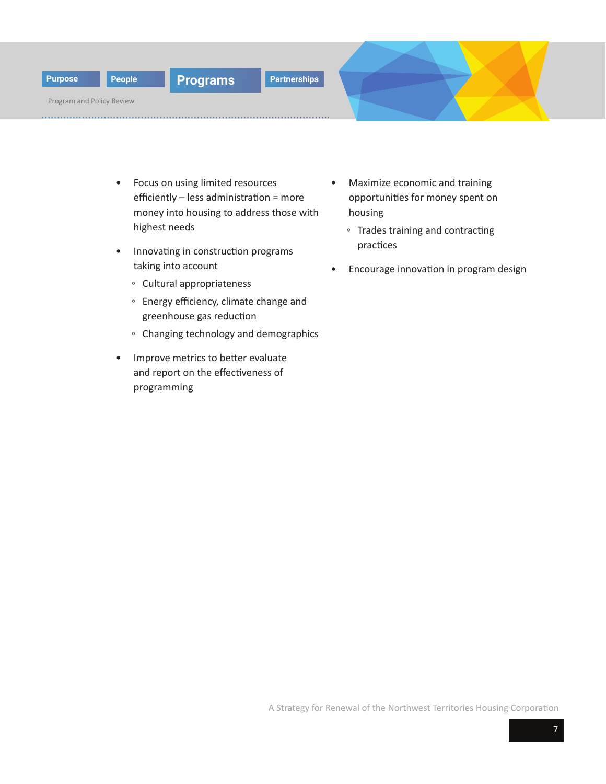

Program and Policy Review

- Focus on using limited resources efficiently – less administration = more money into housing to address those with highest needs
- Innovating in construction programs taking into account
	- Cultural appropriateness
	- Energy efficiency, climate change and greenhouse gas reduction
	- Changing technology and demographics
- Improve metrics to better evaluate and report on the effectiveness of programming
- Maximize economic and training opportunities for money spent on housing
	- Trades training and contracting practices
- Encourage innovation in program design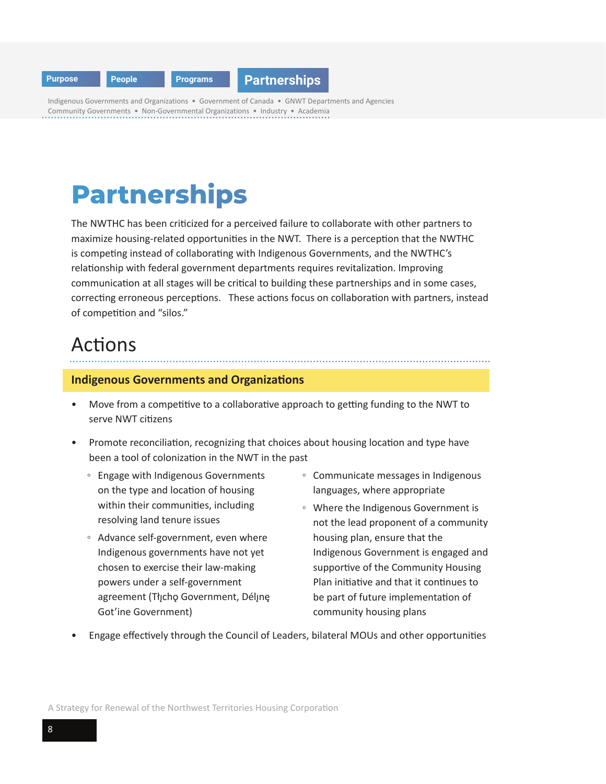<span id="page-9-0"></span>

Indigenous Governments and Organizations • Government of Canada • GNWT Departments and Agencies Community Governments • Non-Governmental Organizations • Industry • Academia

# **Partnerships**

The NWTHC has been criticized for a perceived failure to collaborate with other partners to maximize housing-related opportunities in the NWT. There is a perception that the NWTHC is competing instead of collaborating with Indigenous Governments, and the NWTHC's relationship with federal government departments requires revitalization. Improving communication at all stages will be critical to building these partnerships and in some cases, correcting erroneous perceptions. These actions focus on collaboration with partners, instead of competition and "silos."

## Actions

#### **Indigenous Governments and Organizations**

- Move from a competitive to a collaborative approach to getting funding to the NWT to serve NWT citizens
- Promote reconciliation, recognizing that choices about housing location and type have been a tool of colonization in the NWT in the past
	- Engage with Indigenous Governments on the type and location of housing within their communities, including resolving land tenure issues
	- Advance self-government, even where Indigenous governments have not yet chosen to exercise their law-making powers under a self-government agreement (Tłįcho Government, Délįnę Got'ine Government)
- Communicate messages in Indigenous languages, where appropriate
- Where the Indigenous Government is not the lead proponent of a community housing plan, ensure that the Indigenous Government is engaged and supportive of the Community Housing Plan initiative and that it continues to be part of future implementation of community housing plans
- Engage effectively through the Council of Leaders, bilateral MOUs and other opportunities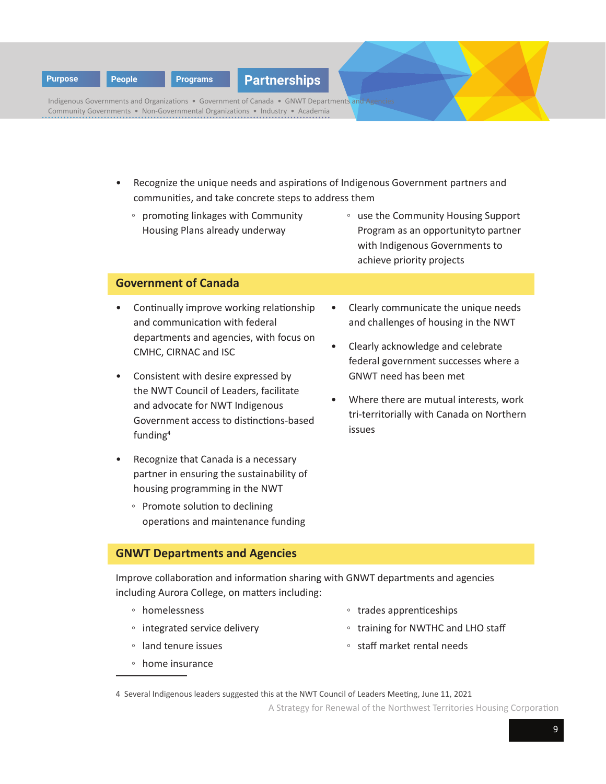**[Purpose](#page-3-0) [People](#page-5-0) [Programs](#page-7-0) Partnerships**

Indigenous Governments and Organizations • Government of Canada • GNWT Departments and Community Governments • Non-Governmental Organizations • Industry • Academia

- Recognize the unique needs and aspirations of Indigenous Government partners and communities, and take concrete steps to address them
	- promoting linkages with Community Housing Plans already underway
- use the Community Housing Support Program as an opportunityto partner with Indigenous Governments to achieve priority projects

#### **Government of Canada**

- Continually improve working relationship and communication with federal departments and agencies, with focus on CMHC, CIRNAC and ISC
- Consistent with desire expressed by the NWT Council of Leaders, facilitate and advocate for NWT Indigenous Government access to distinctions-based funding4
- Recognize that Canada is a necessary partner in ensuring the sustainability of housing programming in the NWT
	- Promote solution to declining operations and maintenance funding

#### **GNWT Departments and Agencies**

Improve collaboration and information sharing with GNWT departments and agencies including Aurora College, on matters including:

- homelessness
- integrated service delivery
- land tenure issues
- home insurance
- trades apprenticeships
- training for NWTHC and LHO staff
- staff market rental needs

- Clearly communicate the unique needs and challenges of housing in the NWT
- Clearly acknowledge and celebrate federal government successes where a GNWT need has been met
- Where there are mutual interests, work tri-territorially with Canada on Northern issues

<sup>4</sup> Several Indigenous leaders suggested this at the NWT Council of Leaders Meeting, June 11, 2021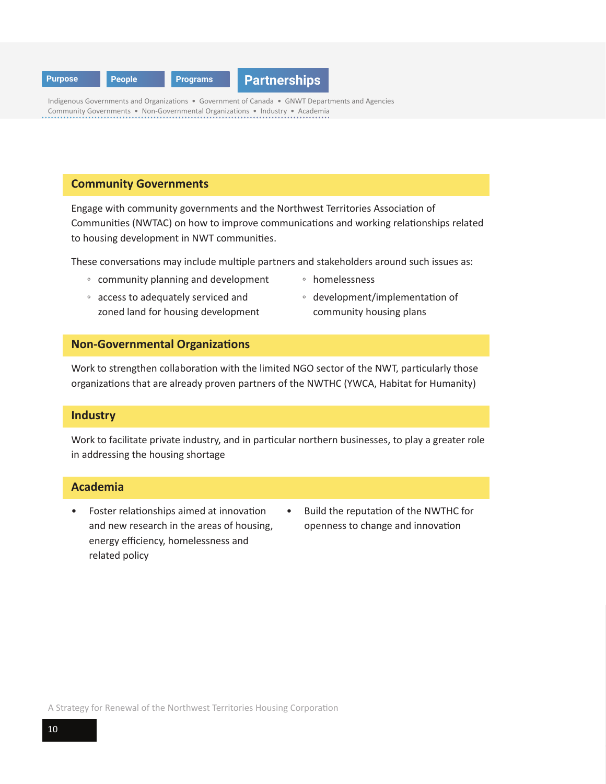

Indigenous Governments and Organizations • Government of Canada • GNWT Departments and Agencies Community Governments • Non-Governmental Organizations • Industry • Academia

#### **Community Governments**

Engage with community governments and the Northwest Territories Association of Communities (NWTAC) on how to improve communications and working relationships related to housing development in NWT communities.

These conversations may include multiple partners and stakeholders around such issues as:

- community planning and development
- access to adequately serviced and zoned land for housing development
- homelessness
- development/implementation of community housing plans

#### **Non-Governmental Organizations**

Work to strengthen collaboration with the limited NGO sector of the NWT, particularly those organizations that are already proven partners of the NWTHC (YWCA, Habitat for Humanity)

#### **Industry**

Work to facilitate private industry, and in particular northern businesses, to play a greater role in addressing the housing shortage

#### **Academia**

- Foster relationships aimed at innovation and new research in the areas of housing, energy efficiency, homelessness and related policy
- Build the reputation of the NWTHC for openness to change and innovation